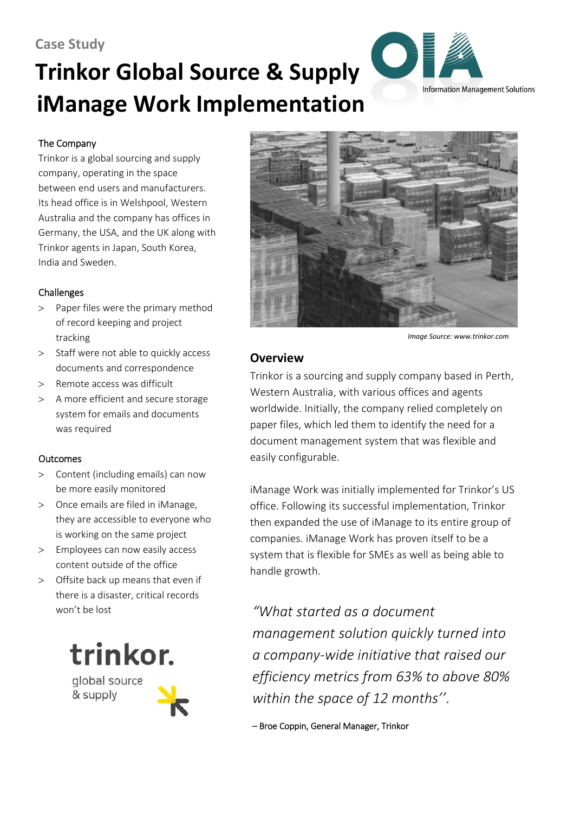## **Case Study**

# **Trinkor Global Source & Supply iManage Work Implementation**



#### The Company

Trinkor is a global sourcing and supply company, operating in the space between end users and manufacturers. Its head office is in Welshpool, Western Australia and the company has offices in Germany, the USA, and the UK along with Trinkor agents in Japan, South Korea, India and Sweden.

#### Challenges

- > Paper files were the primary method of record keeping and project tracking
- > Staff were not able to quickly access documents and correspondence
- > Remote access was difficult
- > A more efficient and secure storage system for emails and documents was required

#### **Outcomes**

- > Content (including emails) can now be more easily monitored
- > Once emails are filed in iManage, they are accessible to everyone who is working on the same project
- > Employees can now easily access content outside of the office
- > Offsite back up means that even if there is a disaster, critical records won't be lost



global source & supply



*Image Source: www.trinkor.com*

## **Overview**

Trinkor is a sourcing and supply company based in Perth, Western Australia, with various offices and agents worldwide. Initially, the company relied completely on paper files, which led them to identify the need for a document management system that was flexible and easily configurable.

iManage Work was initially implemented for Trinkor's US office. Following its successful implementation, Trinkor then expanded the use of iManage to its entire group of companies. iManage Work has proven itself to be a system that is flexible for SMEs as well as being able to handle growth.

*"What started as a document management solution quickly turned into a company-wide initiative that raised our efficiency metrics from 63% to above 80% within the space of 12 months''*.

– Broe Coppin, General Manager, Trinkor